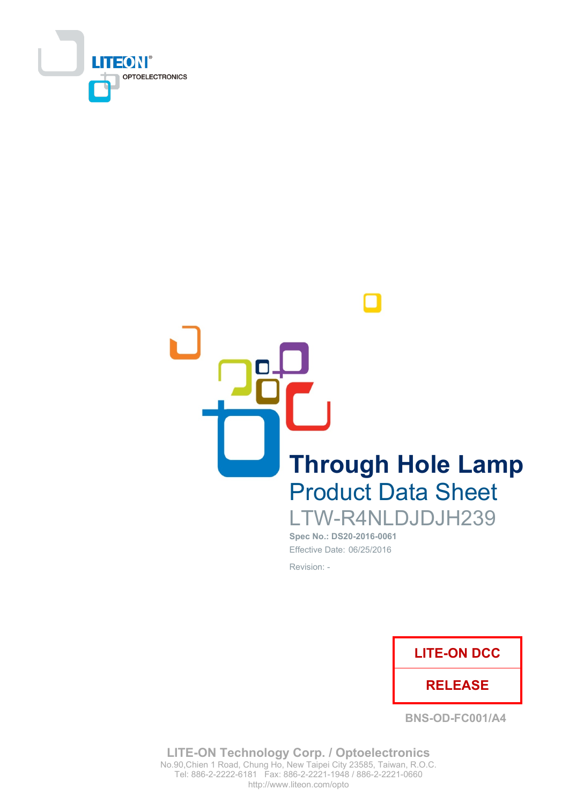

**Through Hole Lamp Product Data Sheet** LTW-R4NLDJDJH239

Spec No.: DS20-2016-0061 Effective Date: 06/25/2016 Revision: -



**BNS-OD-FC001/A4** 

**LITE-ON Technology Corp. / Optoelectronics** No.90, Chien 1 Road, Chung Ho, New Taipei City 23585, Taiwan, R.O.C. Tel: 886-2-2222-6181 Fax: 886-2-2221-1948 / 886-2-2221-0660 http://www.liteon.com/opto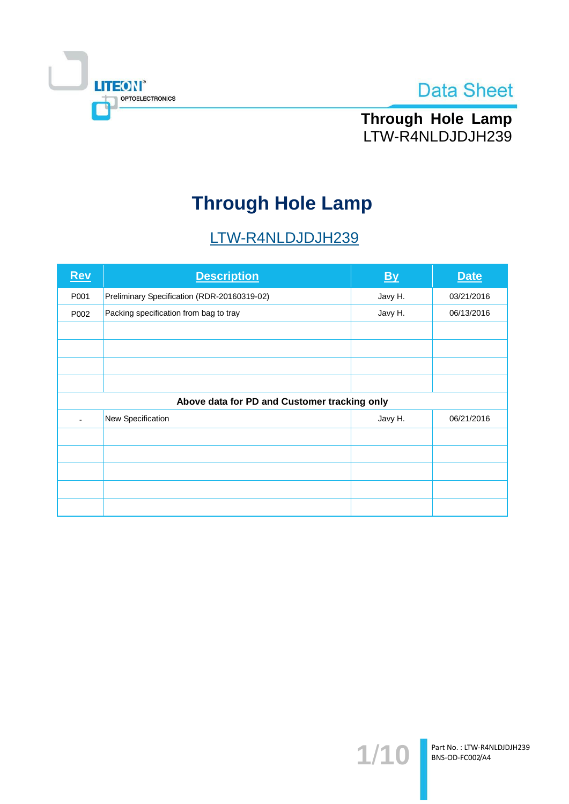



Through Hole Lamp LTW-R4NLDJDJH239

# **Through Hole Lamp**

# LTW-R4NLDJDJH239

| <b>Rev</b>                                   | <b>Description</b>                          | By      | <b>Date</b> |  |  |  |
|----------------------------------------------|---------------------------------------------|---------|-------------|--|--|--|
| P001                                         | Preliminary Specification (RDR-20160319-02) | Javy H. | 03/21/2016  |  |  |  |
| P002                                         | Packing specification from bag to tray      | Javy H. | 06/13/2016  |  |  |  |
|                                              |                                             |         |             |  |  |  |
|                                              |                                             |         |             |  |  |  |
|                                              |                                             |         |             |  |  |  |
|                                              |                                             |         |             |  |  |  |
| Above data for PD and Customer tracking only |                                             |         |             |  |  |  |
|                                              | New Specification                           | Javy H. | 06/21/2016  |  |  |  |
|                                              |                                             |         |             |  |  |  |
|                                              |                                             |         |             |  |  |  |
|                                              |                                             |         |             |  |  |  |
|                                              |                                             |         |             |  |  |  |
|                                              |                                             |         |             |  |  |  |

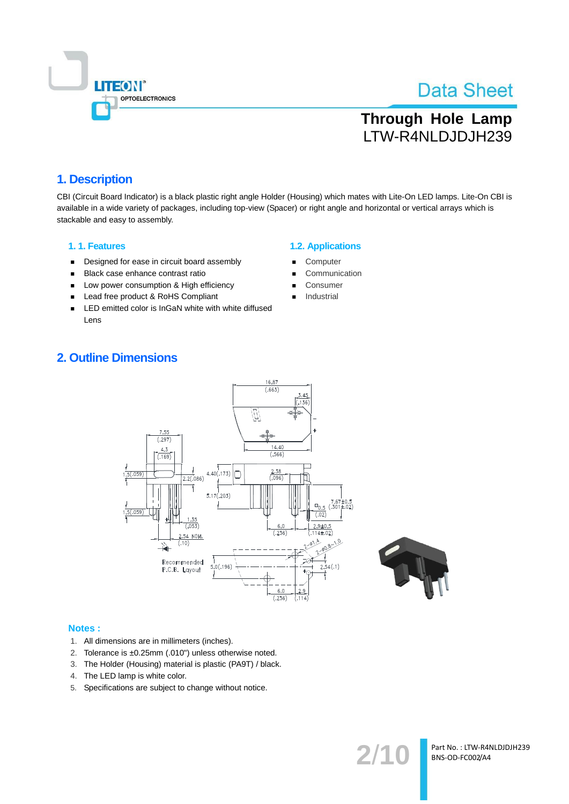

# **Through Hole Lamp** LTW-R4NLDJDJH239

## 1. Description

CBI (Circuit Board Indicator) is a black plastic right angle Holder (Housing) which mates with Lite-On LED lamps. Lite-On CBI is available in a wide variety of packages, including top-view (Spacer) or right angle and horizontal or vertical arrays which is stackable and easy to assembly.

#### 1.1. Features

- Designed for ease in circuit board assembly  $\blacksquare$
- Black case enhance contrast ratio  $\blacksquare$
- Low power consumption & High efficiency  $\blacksquare$
- $\blacksquare$ Lead free product & RoHS Compliant
- LED emitted color is InGaN white with white diffused  $\blacksquare$ Lens

#### **1.2. Applications**

- Computer
- Communication
- Consumer
- Industrial

## **2. Outline Dimensions**





 $2/1$ 

#### **Notes:**

- 1. All dimensions are in millimeters (inches).
- 2. Tolerance is ±0.25mm (.010") unless otherwise noted.
- 3. The Holder (Housing) material is plastic (PA9T) / black.
- 4. The LED lamp is white color.
- 5. Specifications are subject to change without notice.

Part No.: LTW-R4NLDJDJH239 BNS-OD-FC002/A4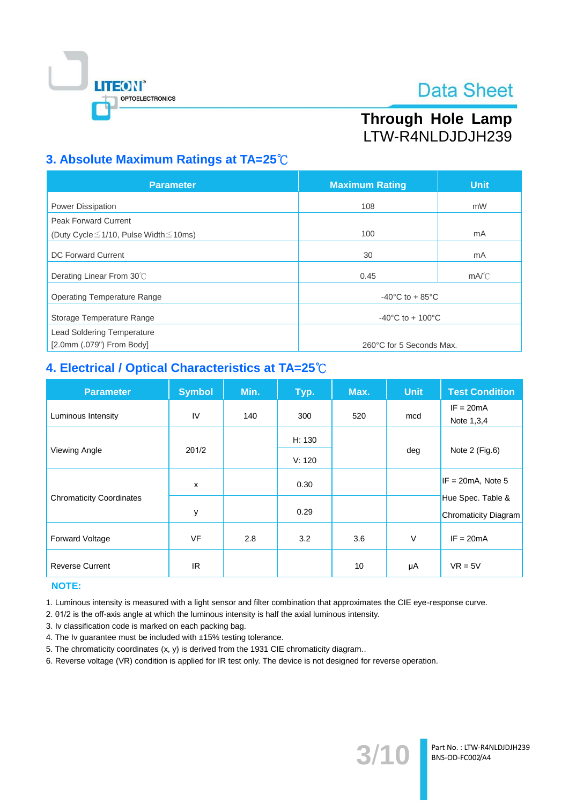

# Through Hole Lamp LTW-R4NLDJDJH239

## 3. Absolute Maximum Ratings at TA=25°C

| <b>Parameter</b>                                  | <b>Maximum Rating</b>                 | <b>Unit</b>    |  |
|---------------------------------------------------|---------------------------------------|----------------|--|
| Power Dissipation                                 | 108                                   | mW             |  |
| <b>Peak Forward Current</b>                       |                                       |                |  |
| (Duty Cycle $\leq$ 1/10, Pulse Width $\leq$ 10ms) | 100                                   | mA             |  |
| <b>DC Forward Current</b>                         | 30                                    | mA             |  |
| Derating Linear From 30°C                         | 0.45                                  | $mA^{\circ}$ C |  |
| <b>Operating Temperature Range</b>                | -40 $^{\circ}$ C to + 85 $^{\circ}$ C |                |  |
| Storage Temperature Range                         | $-40^{\circ}$ C to + 100 $^{\circ}$ C |                |  |
| <b>Lead Soldering Temperature</b>                 |                                       |                |  |
| $[2.0$ mm $(.079")$ From Body]                    | 260°C for 5 Seconds Max.              |                |  |

## 4. Electrical / Optical Characteristics at TA=25°C

| <b>Parameter</b>                | <b>Symbol</b> | Min. | Typ.             | Max. | <b>Unit</b> | <b>Test Condition</b>                            |
|---------------------------------|---------------|------|------------------|------|-------------|--------------------------------------------------|
| Luminous Intensity              | IV            | 140  | 300              | 520  | mcd         | $IF = 20mA$<br>Note 1,3,4                        |
|                                 |               |      | H: 130<br>V: 120 |      | deg         |                                                  |
| Viewing Angle                   | $2\theta$ 1/2 |      |                  |      |             | Note 2 (Fig.6)                                   |
|                                 | X             |      | 0.30             |      |             | $IF = 20mA$ , Note 5                             |
| <b>Chromaticity Coordinates</b> | у             |      | 0.29             |      |             | Hue Spec. Table &<br><b>Chromaticity Diagram</b> |
| <b>Forward Voltage</b>          | <b>VF</b>     | 2.8  | 3.2              | 3.6  | $\vee$      | $IF = 20mA$                                      |
| <b>Reverse Current</b>          | IR.           |      |                  | 10   | μA          | $VR = 5V$                                        |

### **NOTE:**

1. Luminous intensity is measured with a light sensor and filter combination that approximates the CIE eye-response curve.

2. 01/2 is the off-axis angle at which the luminous intensity is half the axial luminous intensity.

3. Iv classification code is marked on each packing bag.

4. The Iv guarantee must be included with ±15% testing tolerance.

5. The chromaticity coordinates (x, y) is derived from the 1931 CIE chromaticity diagram..

6. Reverse voltage (VR) condition is applied for IR test only. The device is not designed for reverse operation.

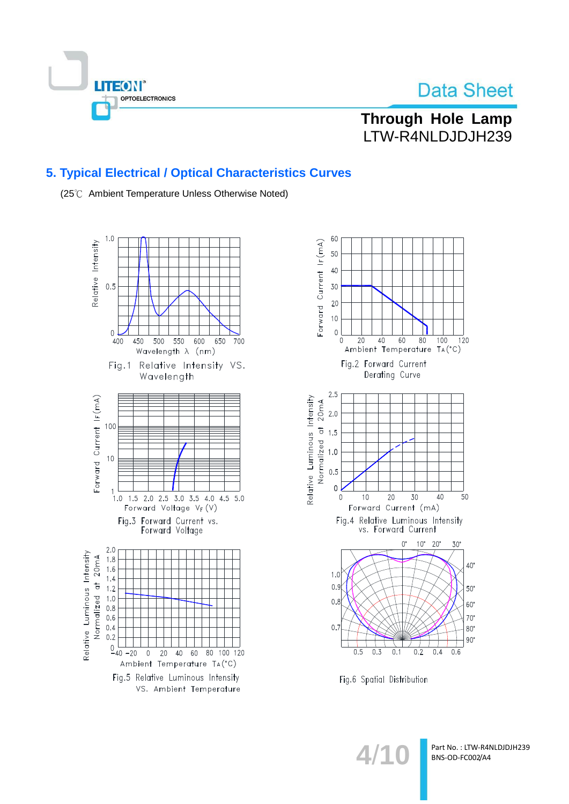

**Through Hole Lamp** LTW-R4NLDJDJH239

## 5. Typical Electrical / Optical Characteristics Curves

(25℃ Ambient Temperature Unless Otherwise Noted)





Fig.6 Spatial Distribution

 $4/1$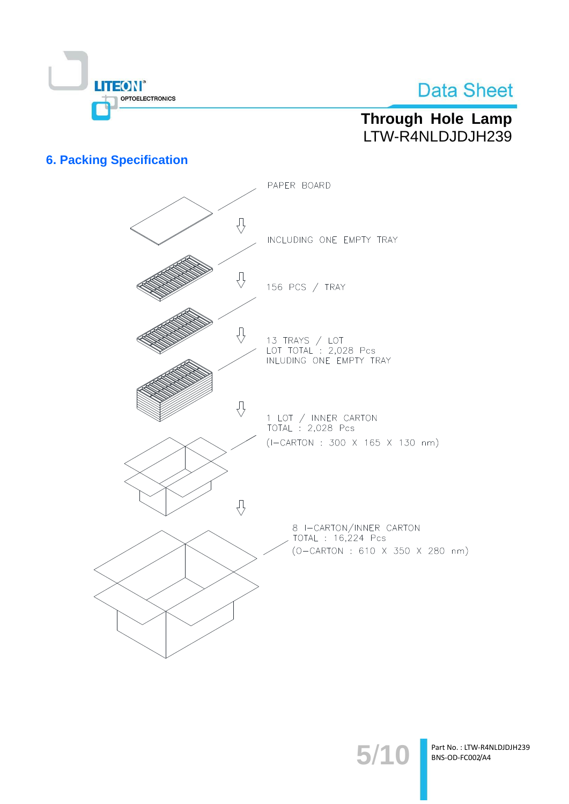

# Through Hole Lamp LTW-R4NLDJDJH239

## **6. Packing Specification**



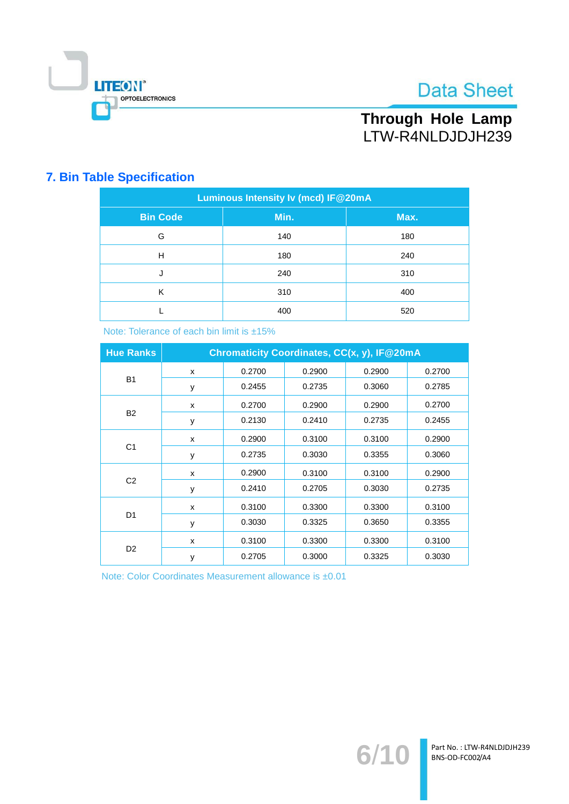

Through Hole Lamp LTW-R4NLDJDJH239

## **7. Bin Table Specification**

| <b>Luminous Intensity Iv (mcd) IF@20mA</b> |      |      |  |  |  |
|--------------------------------------------|------|------|--|--|--|
| <b>Bin Code</b>                            | Min. | Max. |  |  |  |
| G                                          | 140  | 180  |  |  |  |
| Н                                          | 180  | 240  |  |  |  |
| J                                          | 240  | 310  |  |  |  |
| K                                          | 310  | 400  |  |  |  |
|                                            | 400  | 520  |  |  |  |

Note: Tolerance of each bin limit is ±15%

| <b>Hue Ranks</b> | Chromaticity Coordinates, CC(x, y), IF@20mA |        |        |        |        |  |
|------------------|---------------------------------------------|--------|--------|--------|--------|--|
| <b>B1</b>        | X                                           | 0.2700 | 0.2900 | 0.2900 | 0.2700 |  |
|                  | у                                           | 0.2455 | 0.2735 | 0.3060 | 0.2785 |  |
|                  | X                                           | 0.2700 | 0.2900 | 0.2900 | 0.2700 |  |
| <b>B2</b>        | y                                           | 0.2130 | 0.2410 | 0.2735 | 0.2455 |  |
|                  | X                                           | 0.2900 | 0.3100 | 0.3100 | 0.2900 |  |
| C <sub>1</sub>   | у                                           | 0.2735 | 0.3030 | 0.3355 | 0.3060 |  |
|                  | x                                           | 0.2900 | 0.3100 | 0.3100 | 0.2900 |  |
| C <sub>2</sub>   | у                                           | 0.2410 | 0.2705 | 0.3030 | 0.2735 |  |
| D <sub>1</sub>   | X                                           | 0.3100 | 0.3300 | 0.3300 | 0.3100 |  |
|                  | у                                           | 0.3030 | 0.3325 | 0.3650 | 0.3355 |  |
| D <sub>2</sub>   | x                                           | 0.3100 | 0.3300 | 0.3300 | 0.3100 |  |
|                  | У                                           | 0.2705 | 0.3000 | 0.3325 | 0.3030 |  |

Note: Color Coordinates Measurement allowance is ±0.01

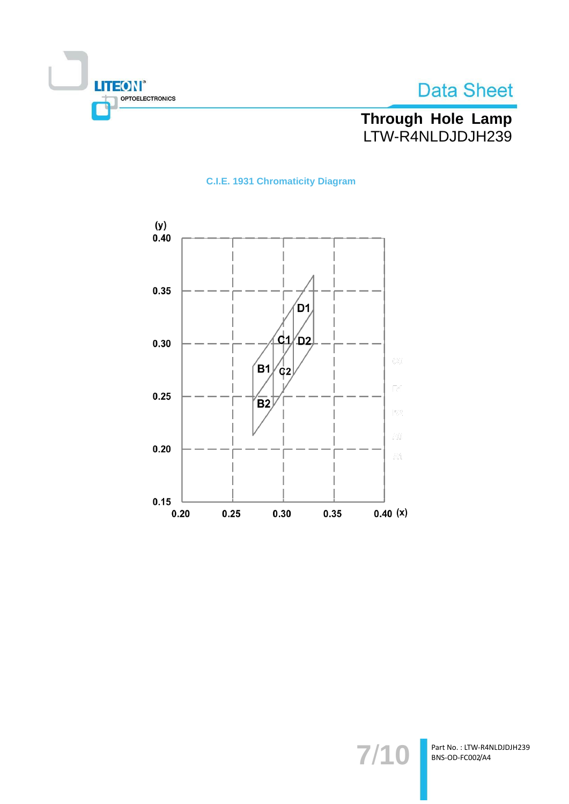



# Through Hole Lamp<br>LTW-R4NLDJDJH239

## **C.I.E. 1931 Chromaticity Diagram**



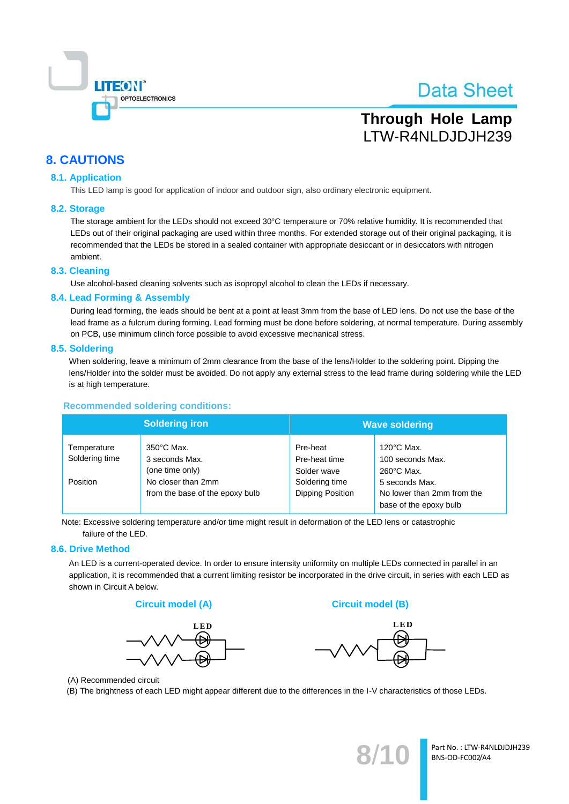

# **Through Hole Lamp** LTW-R4NLDJDJH239

## **8. CAUTIONS**

#### **8.1. Application**

This LED lamp is good for application of indoor and outdoor sign, also ordinary electronic equipment.

#### 8.2. Storage

The storage ambient for the LEDs should not exceed 30°C temperature or 70% relative humidity. It is recommended that LEDs out of their original packaging are used within three months. For extended storage out of their original packaging, it is recommended that the LEDs be stored in a sealed container with appropriate desiccant or in desiccators with nitrogen ambient.

#### 8.3. Cleaning

Use alcohol-based cleaning solvents such as isopropyl alcohol to clean the LEDs if necessary.

#### 8.4. Lead Forming & Assembly

During lead forming, the leads should be bent at a point at least 3mm from the base of LED lens. Do not use the base of the lead frame as a fulcrum during forming. Lead forming must be done before soldering, at normal temperature. During assembly on PCB, use minimum clinch force possible to avoid excessive mechanical stress.

#### 8.5. Soldering

When soldering, leave a minimum of 2mm clearance from the base of the lens/Holder to the soldering point. Dipping the lens/Holder into the solder must be avoided. Do not apply any external stress to the lead frame during soldering while the LED is at high temperature.

#### **Recommended soldering conditions:**

|                               | <b>Soldering iron</b>                                     | <b>Wave soldering</b>                    |                                                                        |  |
|-------------------------------|-----------------------------------------------------------|------------------------------------------|------------------------------------------------------------------------|--|
| Temperature<br>Soldering time | $350^{\circ}$ C Max.<br>3 seconds Max.<br>(one time only) | Pre-heat<br>Pre-heat time<br>Solder wave | $120^{\circ}$ C Max.<br>100 seconds Max.<br>$260^{\circ}$ C Max.       |  |
| Position                      | No closer than 2mm<br>from the base of the epoxy bulb     | Soldering time<br>Dipping Position       | 5 seconds Max.<br>No lower than 2mm from the<br>base of the epoxy bulb |  |

Note: Excessive soldering temperature and/or time might result in deformation of the LED lens or catastrophic failure of the LED.

#### 8.6. Drive Method

An LED is a current-operated device. In order to ensure intensity uniformity on multiple LEDs connected in parallel in an application, it is recommended that a current limiting resistor be incorporated in the drive circuit, in series with each LED as shown in Circuit A below.





**Circuit model (B)** 



(A) Recommended circuit

(B) The brightness of each LED might appear different due to the differences in the I-V characteristics of those LEDs.

Part No.: LTW-R4NLDJDJH239 BNS-OD-FC002/A4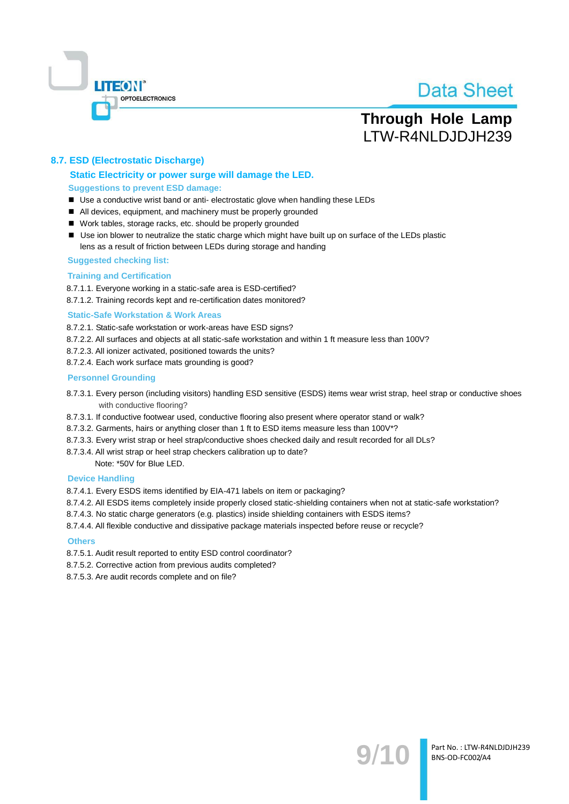

## **Through Hole Lamp** LTW-R4NLDJDJH239

#### 8.7. ESD (Electrostatic Discharge)

#### Static Electricity or power surge will damage the LED. **Suggestions to prevent ESD damage:**

- Use a conductive wrist band or anti- electrostatic glove when handling these LEDs
- All devices, equipment, and machinery must be properly grounded
- Work tables, storage racks, etc. should be properly grounded
- Use ion blower to neutralize the static charge which might have built up on surface of the LEDs plastic lens as a result of friction between LEDs during storage and handing

#### **Suggested checking list:**

#### **Training and Certification**

8.7.1.1. Everyone working in a static-safe area is ESD-certified?

8.7.1.2. Training records kept and re-certification dates monitored?

#### **Static-Safe Workstation & Work Areas**

8.7.2.1. Static-safe workstation or work-areas have ESD signs?

- 8.7.2.2. All surfaces and objects at all static-safe workstation and within 1 ft measure less than 100V?
- 8.7.2.3. All ionizer activated, positioned towards the units?
- 8.7.2.4. Each work surface mats grounding is good?

#### **Personnel Grounding**

- 8.7.3.1. Every person (including visitors) handling ESD sensitive (ESDS) items wear wrist strap, heel strap or conductive shoes with conductive flooring?
- 8.7.3.1. If conductive footwear used, conductive flooring also present where operator stand or walk?
- 8.7.3.2. Garments, hairs or anything closer than 1 ft to ESD items measure less than 100V\*?
- 8.7.3.3. Every wrist strap or heel strap/conductive shoes checked daily and result recorded for all DLs?
- 8.7.3.4. All wrist strap or heel strap checkers calibration up to date?

Note: \*50V for Blue LED.

#### **Device Handling**

8.7.4.1. Every ESDS items identified by EIA-471 labels on item or packaging?

- 8.7.4.2. All ESDS items completely inside properly closed static-shielding containers when not at static-safe workstation?
- 8.7.4.3. No static charge generators (e.g. plastics) inside shielding containers with ESDS items?
- 8.7.4.4. All flexible conductive and dissipative package materials inspected before reuse or recycle?

#### **Others**

- 8.7.5.1. Audit result reported to entity ESD control coordinator?
- 8.7.5.2. Corrective action from previous audits completed?
- 8.7.5.3. Are audit records complete and on file?